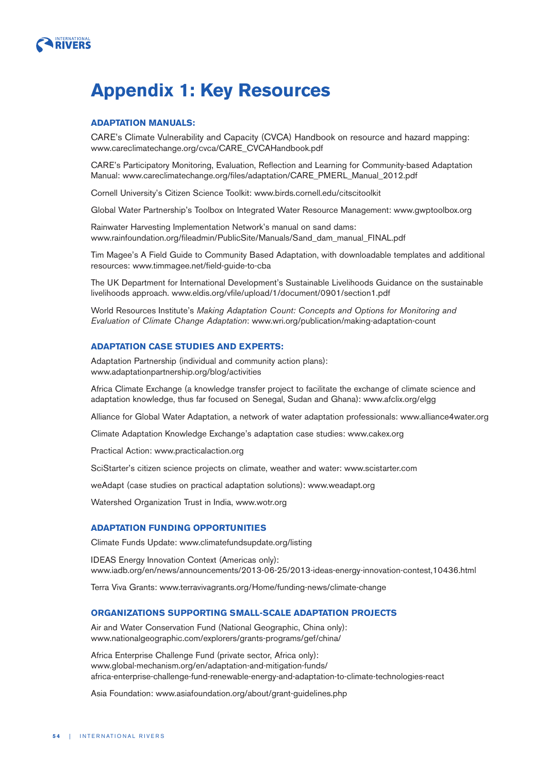

# **Appendix 1: Key Resources**

## **ADAPTATION MANUALS:**

CARE's Climate Vulnerability and Capacity (CVCA) Handbook on resource and hazard mapping: www.careclimatechange.org/cvca/CARE\_CVCAHandbook.pdf

CARE's Participatory Monitoring, Evaluation, Reflection and Learning for Community-based Adaptation Manual: www.careclimatechange.org/files/adaptation/CARE\_PMERL\_Manual\_2012.pdf

Cornell University's Citizen Science Toolkit: www.birds.cornell.edu/citscitoolkit

Global Water Partnership's Toolbox on Integrated Water Resource Management: www.gwptoolbox.org

Rainwater Harvesting Implementation Network's manual on sand dams: www.rainfoundation.org/fileadmin/PublicSite/Manuals/Sand\_dam\_manual\_FINAL.pdf

Tim Magee's A Field Guide to Community Based Adaptation, with downloadable templates and additional resources: www.timmagee.net/field-guide-to-cba

The UK Department for International Development's Sustainable Livelihoods Guidance on the sustainable livelihoods approach. www.eldis.org/vfile/upload/1/document/0901/section1.pdf

World Resources Institute's Making Adaptation Count: Concepts and Options for Monitoring and Evaluation of Climate Change Adaptation: www.wri.org/publication/making-adaptation-count

# **ADAPTATION CASE STUDIES AND EXPERTS:**

Adaptation Partnership (individual and community action plans): www.adaptationpartnership.org/blog/activities

Africa Climate Exchange (a knowledge transfer project to facilitate the exchange of climate science and adaptation knowledge, thus far focused on Senegal, Sudan and Ghana): www.afclix.org/elgg

Alliance for Global Water Adaptation, a network of water adaptation professionals: www.alliance4water.org

Climate Adaptation Knowledge Exchange's adaptation case studies: www.cakex.org

Practical Action: www.practicalaction.org

SciStarter's citizen science projects on climate, weather and water: www.scistarter.com

weAdapt (case studies on practical adaptation solutions): www.weadapt.org

Watershed Organization Trust in India, www.wotr.org

# **ADAPTATION FUNDING OPPORTUNITIES**

Climate Funds Update: www.climatefundsupdate.org/listing

IDEAS Energy Innovation Context (Americas only): www.iadb.org/en/news/announcements/2013-06-25/2013-ideas-energy-innovation-contest,10436.html

Terra Viva Grants: www.terravivagrants.org/Home/funding-news/climate-change

## **ORGANIZATIONS SUPPORTING SMALL-SCALE ADAPTATION PROJECTS**

Air and Water Conservation Fund (National Geographic, China only): www.nationalgeographic.com/explorers/grants-programs/gef/china/

Africa Enterprise Challenge Fund (private sector, Africa only): www.global-mechanism.org/en/adaptation-and-mitigation-funds/ africa-enterprise-challenge-fund-renewable-energy-and-adaptation-to-climate-technologies-react

Asia Foundation: www.asiafoundation.org/about/grant-guidelines.php